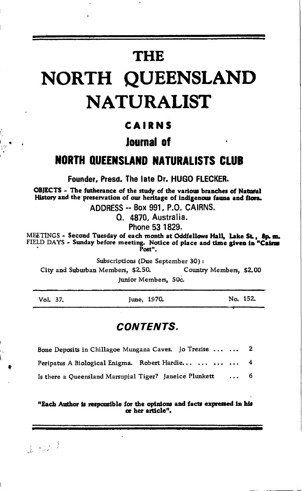# **THE**

# NORTH QUEENSLAND **NATURALIST**

### CAIRNS

### **Journal of**

### **NORTH QUEENSLAND NATURALISTS CLUB**

Founder, Presd. The late Dr. HUGO FLECKER.

OBJECTS - The futherance of the study of the various branches of Natural History and the preservation of our heritage of indigenous fauna and flora.

ADDRESS -- Box 991, P.O. CAIRNS.

Q. 4870. Australia.

Phone 53 1829.

MEETINGS - Second Tuesday of each month at Oddfellows Hall, Lake St., 8p.m. FIELD DAYS - Sunday before meeting. Notice of place and time given in "Cairns Post".

Subscriptions (Due September 30):

City and Suburban Members. \$2.50. Country Members. \$2.00

Junior Members, 50c.

|  | Vol. |  |  |
|--|------|--|--|
|--|------|--|--|

June, 1970.

No. 152.

### **CONTENTS.**

| Bone Deposits in Chillagoe Mungana Caves. Jo Trezise    |  |  |          | 2. |
|---------------------------------------------------------|--|--|----------|----|
| Peripatus A Biological Enigma. Robert Hardie            |  |  |          | 4  |
| Is there a Oueensland Marsupial Tiger? Janeice Plunkett |  |  | $\cdots$ | 6. |

#### "Each Author is responsible for the opinions and facts expressed in his or her article".

 $k \approx k^4$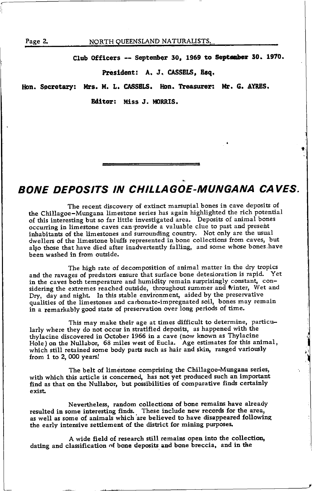Page 2.

#### NORTH QUEENSLAND NATURALISTS.

Club Officers -- September 30, 1969 to September 30. 1970.

#### President: A. J. CASSELS, Esq.

Hon. Secretary: Mrs. M. L. CASSELS. Hon. Treasurer: Mr. G. AYRES.

**Editor: Miss J. MORRIS.** 

# **BONE DEPOSITS IN CHILLAGOE-MUNGANA CAVES.**

The recent discovery of extinct marsupial bones in cave deposits of the Chillagoe-Mungana limestone series has again highlighted the rich potential of this interesting but so far little investigated area. Deposits of animal bones occurring in limestone caves can provide a valuable clue to past and present inhabitants of the limestones and surrounding country. Not only are the usual dwellers of the limestone bluffs represented in bone collections from caves, but also those that have died after inadvertently falling, and some whose bones have been washed in from outside.

The high rate of decomposition of animal matter in the dry tropics and the ravages of predators ensure that surface bone deterioration is rapid. Yet in the caves both temperature and humidity remain surprisingly constant, considering the extremes reached outside, throughout summer and winter, Wet and Dry, day and night. In this stable environment, aided by the preservative qualities of the limestones and carbonate-impregnated soil, bones may remain in a remarkably good state of preservation over long periods of time.

This may make their age at times difficult to determine, particularly where they do not occur in stratified deposits, as happened with the thylacine discovered in October 1966 in a cave (now known as Thylacine Hole) on the Nullabor, 68 miles west of Eucla. Age estimates for this animal, which still retained some body parts such as hair and skin, ranged variously from 1 to 2, 000 years!

The belt of limestone comprising the Chillagoe-Mungana series, with which this article is concerned, has not yet produced such an important find as that on the Nullabor, but possibilities of comparative finds certainly exist.

Nevertheless, random collections of bone remains have already resulted in some interesting finds. These include new records for the area, as well as some of animals which are believed to have disappeared following the early intensive settlement of the district for mining purposes.

A wide field of research still remains open into the collection, dating and classification of bone deposits and bone breccia, and in the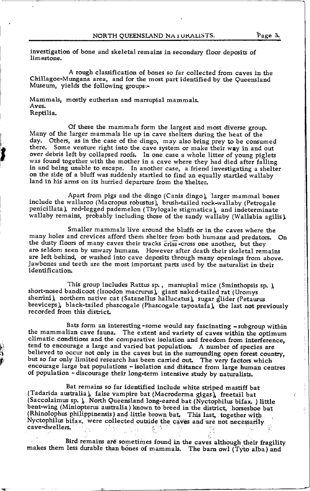investigation of bone and skeletal remains in secondary floor deposits of limestone.

A rough classification of bones so far collected from caves in the Chillagoe-Mungana area, and for the most part identified by the Queensland Museum, yields the following groups:-

Mammals, mostly eutherian and marsupial mammals. Aves. Reptilia.

Of these the mammals form the largest and most diverse group. day. Others, as in the case of the dingo, may also bring prey to be consumed there. Some venture right into the cave system or make their way in and out over debris left by collapsed roofs. In one case a whole litter of young piglets was found together with the mother in a cave where they had died after falling in and being unable to escape. In another case, a friend investigating a shelter on the side of a bluff was suddenly startled to find an equally startled wallaby land in his arms on its hurried departure from the shelter.

include the wallaroo (Macropus robustus), brush-tailed rock-wallaby (Petrogale Apart from pigs and the dingo (Canis dingo) larger mammal bones penicillata), red-legged pademelon (Thylogale stigmatica), and indeterminate wallaby remains, probably including those of the sandy wallaby (wallabia agilis)

Smaller mammals live around the bluffs or in the caves where the many holes and crevices afford them shelter from both humans and predators. On the dusty floors of many caves their tracks criss-cross one another, but they are seldom seen by unwary humans. However after death their skeletal remains are left behind, or washed into cave deposits through many openings from above. Jawbones and teeth are the most important parts used by the naturalist in their identification

short-nosed bandicoot (Isoodon macrurus), giant naked-tailed rat (Uromys This group includes Rattus sp., marsupial mice (Sminthopsis sp.) sherrini), northern native cat ( Satanellus hallucatus), sugar glider ( Petaurus breviceps), black-tailed phascogale (Phascogale tapoatafa), the last not previously recorded from this district.

Bats form an interesting-some would say fascinating -subgroup within the mammalian cave fauna. The extent and variety of caves within the optimum climatic conditions and the comparative isolation and freedom from interference, tend to encourage a large and varied bat population. A number of species are believed to occur not only in the caves but in the surrounding open forest country, but so far only limited research has been carried out. The very factors which encourage large bat populations - isolation and distance from large human centres of population - discourage their long-term intensive study by naturalists.

i<br>R n t,

> Bat remains so far identified include white striped mastiff bat<br>I fadarida australia), false vampire bat (Macroderma gigas), freetail bat (Saccolaimus sp. ), North Queensland long-eared bat (Nyctophilus bifax. ) little bent-wing (Miniopterus australia) known to breed in the district, horseshoe bat (Rhinolophus philippinensis) and little brown bat. This last, together with Nyctophilus bifax, were collected outside the caves and are not necessarily cave-dwellers. ,. .,  $\mathcal{X}_{\mathcal{A}}$  , t,.

Bird remains are sometimes found in the caves although their fragility makes them less durable than bones of mammals. The barn owl (Tyto alba) and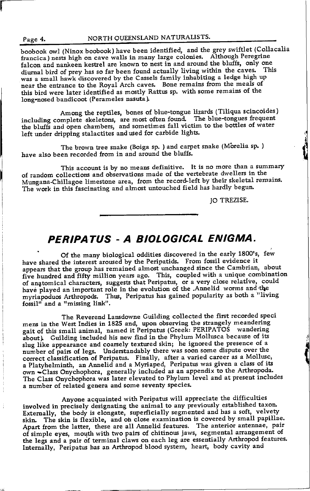#### Page 4.

#### NORTH QUEENSLAND NATURALISTS.

boobook owl (Ninox boobook) have been identified, and the grey swiftlet (Collacalia francica) nests high on cave walls in many large colonies. Although Peregrine falcon and nankeen kestrel are known to nest in and around the bluffs, only one diurnal bird of prey has so far been found actually living within the caves. This was a small hawk discovered by the Cassels family inhabiting a ledge high up near the entrance to the Royal Arch caves. Bone remains from the meals of this bird were later identified as mostly Rattus sp. with some remains of the long-nosed bandicoot (Perameles nasuta).

Among the reptiles, bones of blue-tongue lizards (Tiliqua scincoides) including complete skeletons, are most often found. The blue-tongues frequent the bluffs and open chambers, and sometimes fall victim to the bottles of water left under dripping stalactites and used for carbide lights.

The brown tree snake (Boiga sp. ) and carpet snake (Morelia sp. ) have also been recorded from in and around the bluffs.

This account is by no means definitive. It is no more than a summary of random collections and observations made of the vertebrate dwellers in the Mungana-Chillagoe limestone area, from the record-left by their skeletal remains. The work in this fascinating and almost untouched field has hardly begun.

IO TREZISE.

## PERIPATUS - A BIOLOGICAL ENIGMA.

Of the many biological oddities discovered in the early 1800's, few have shared the interest aroused by the Peripatids. From fossil evidence it appears that the group has remained almost unchanged since the Cambrian, about five hundred and fifty million years ago. This, coupled with a unique combination of anatomical characters, suggests that Peripatus, or a very close relative, could<br>have played an important role in the evolution of the Annelid worms and the myriapoduos Arthropods. Thus, Peripatus has gained popularity as both a "living fossil<sup>1</sup> and a "missing link".

The Reverend Lansdowne Guilding collected the first recorded speci mens in the West Indies in 1825 and, upon observing the strangely meandering gait of this small animal, named it Peripatus (Greek: PERIPATOS wandering about). Guilding included his new find in the Phylum Mollusca because of its slug like appearance and coarsely textured skin; he ignored the presence of a number of pairs of legs. Understandably there was soon some dispute over the correct classification of Peripatus. Finally, after a varied career as a Mollusc,<br>a Platyhelminth, an Annelid and a Myriaped, Peripatus was given a class of its own -Class Onychophora, generally included as an appendix to the Arthropoda. The Class Onychophora was later elevated to Phylum level and at present includes a number of related genera and some seventy species.

Anyone acquainted with Peripatus will appreciate the difficulties involved in precisely designating the animal to any previously established taxon. Externally, the body is elongate, superficially segmented and has a soft, velvety skin. The skin is flexible, and on close examination is covered by small papillae. Apart from the latter, these are all Annelid features. The anterior antennae, pair of simple eyes, mouth with two pairs of chitinous jaws, segmental arrangement of the legs and a pair of terminal claws on each leg are essentially Arthropod features. Internally, Peripatus has an Arthropod blood system, heart, body cavity and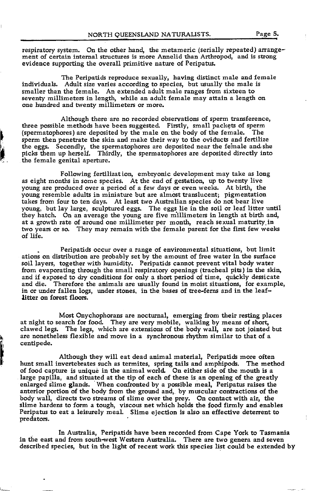respiratory system. On the other hand, the metameric (serially repeated) arrangement of certain internal structures is more Annelid than Arthropod, and is strong evidence supporting the overall primitive nature of Peripatus.

The Peripatids reproduce sexually, having distinct male and female individuals. Adult size varies according to species, but usually the male is smaller than the female. An extended adult male ranges from sixteen to seventy millimeters in length, while an adult female may attain a length on one hundred and twenty millimeters or more.

Although there are no recorded observations of sperm transference, three possible methods have been suggested. Firstly, small packets of sperm (sperm in the sperm) that is also the male on the body of the female. The (spermatophores) are deposited by the male on the body of the female. sperm then penetrate the skin and make their way to the oviducts and fertilize the eggs. Secondly, the spermatophores are deposited near the feinale and.she picls them up herself. Thirdly, the spermatophores are deposited directly into the female genital aperture.

I il

> Following fertilization, embryonic development may take as long as eight months in some species. At the end of gestation, up to twenty live young are produced over a period of a few days or even weeks. At birth, the young resemble adults in miniature but are almost translucent; pigmentation takes from four to ten days. At least two Australian species do not bear live young, but lay large, sculptured eggs. The eggs lie in the soil or leaf litter until they hatch. On an average the young are five millimeters in length at birth and, at a growth rate of around one millimeter per month, reach sexual maturity.in two years or so. They may remain with the female parent for the first few weeks of life.

Peripatids occur over a range of environmental situations, but limit ations on distribution are probably set by the amount of free water in the surface soil layers, together with humidity. Peripatids cannot prevent vital body water from evaporating through the small respiratory openings (tracheal pits) in the skin, and if exposed to dry conditions for only a short period of time, quickly dessicate and die. Therefore the animals are usually found in moist situations, for example Therefore the animals are usually found in moist situations, for example, in or under fallen logs, under stones, in the bases of tree-ferns and in the leaflitter on forest floors.

Most Onychophorans are nocturnal, emerging from their resting places at night to search for food. They are very mobile, walking by means of short, clawed legs. The legs, which are extensions of the body wall, are not jointed but are nonetheless flexible and move in a syncbronous rhytfim similar to that of <sup>a</sup> centipede.

Altbough they will eat dead animal material, Peripatids more often hunt small invertebrates such as termites, spring tails and amphipods. The method of food capture is unique in the animal world. On either side of the mouth is <sup>a</sup> large papilla, and situated at the tip of each of these is an opening of the greatly enlarged slime glands. When confronted by a possible meal, Peripatus raises the anterior portion of the body from the ground and, by muscular contractions of the body wall, directs two streams of slime over the prey. On contact with air, the slime hardens to form a tough, viscous net which holds the food firmly and enables Peripatus to eat a leisurely meal. Slime ejection is also an effective deterrent to predators.

In Australia, Peripatids have been recorded from Cape York to Tasmania in the east and from south-west Western Australia. There are two genera and seven described species, but in the light of recent work this species list could be extended by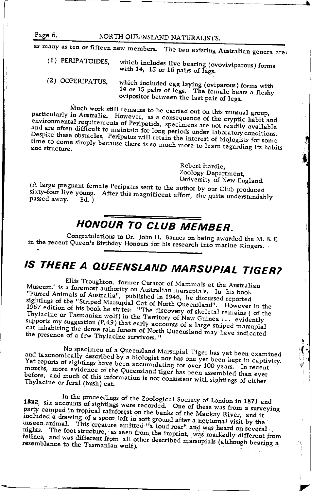NORTH QUEENSLAND NATURALISTS.

as many as ten or fifteen new members. The two existing Australian genera are:

- (1) PERIPATOIDES. which includes live bearing (ovoviviparous) forms with 14. 15 or 16 pairs of legs.
- (2) OOPERIPATUS. which included egg laying (oviparous) forms with 14 or 15 pairs of legs. The female bears a fleshy ovipositor between the last pair of legs.

Much work still remains to be carried out on this unusual group, particularly in Australia. However, as a consequence of the cryptic habit and environmental requirements of Peripatids, specimens are not readily available and are often difficult to maintain for long periods under laboratory conditions. Despite these obstacles, Peripatus will retain the interest of biologists for some time to come simply because there is so much more to learn regarding its habits

> Robert Hardie. Zoology Department, University of New England.

(A large pregnant female Peripatus sent to the author by our Club produced sixty-four live young. After this magnificent effort, she quite understandably passed away.  $Ed.$ )

# HONOUR TO CLUB MEMBER.

Congratulations to Dr. John H. Barnes on being awarded the M. B. E. in the recent Queen's Birthday Honours for his research into marine stingers.

# IS THERE A QUEENSLAND MARSUPIAL TIGER?

Ellis Troughton, former Curator of Mammals at the Australian Museum, is a foremost authority on Australian marsupials. In his book "Furred Animals of Australia", published in 1946, he discussed reported sightings of the "Striped Marsupial Cat of North Queensland". However in the 1967 edition of his book he states: "The discovery of skeletal remains ( of the Thylacine or Tasmanian wolf) in the Territory of New Guinea ... evidently supports my suggestion (P.49) that early accounts of a large striped marsupial cat inhabiting the dense rain forests of North Queensland may have indicated the presence of a few Thylacine survivors."

No specimen of a Queensland Marsupial Tiger has yet been examined and taxonomically described by a biologist nor has one yet been kept in captivity. Yet reports of sightings have been accumulating for over 100 years. In recent months, more evidence of the Queensland tiger has been assembled than ever before, and much of this information is not consistent with sightings of either Thvlacine or feral (bush) cat.

In the proceedings of the Zoological Society of London in 1871 and 1872, six accounts of sightings were recorded. One of these was from a surveying party camped in tropical rainforest on the banks of the Mackay River, and it included a drawing of a spoor left in soft ground after a nocturnal visit by the unseen animal. This creature emitted "a loud roar" and was heard on several nights. The foot structure, as seen from the imprint, was markedly different from felines, and was different from all other described marsupials (although bearing a resemblance to the Tasmanian wolf).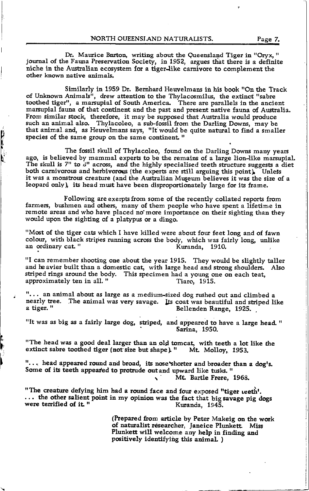Dr. Maurice Burton, writing about the Queensland Tiger in "Oryx," journal of the Fauna Preservation Society, in 1952, argues that there is a definite niche in the Australian ecosystem for a tiger-like carnivore to complement the other known native animals.

Similarly in 1959 Dr. Bernhard Heuvelmans in his book "On the Track of Unknown Animals<sup>i</sup>, drew attention to the Thylacosmilus, the extinct "sabre toothed tiger", a marsupial of South America. There are parallels in the ancient marsupial fauna of that continent and the past and present native fauna of Australia. From similar stock, therefore, it may be supposed that Australia would produce such an anirnal also. Thylacoleo, a sub-fossil from the Darling Downs, may be that animal and, as Heuvelmans says, "It would be quite natural to find a smaller species of the same group on the same continent."

The fossil skull of Thylacoleo, found on the Darling Downs many years ago, is believed by mammal experts to be the remains of a large lion-like marsupial. The skull is  $7<sup>n</sup>$  to  $3<sup>n</sup>$  across, and the highly specialised teeth structure suggests a diet both carnivorous and herbivorous (the experts are still arguing this point). Unless it was a monstrous creature (and the Australian Museum believes it was the size of a leopard only), its head must have been disproportionately large for its frame.

**ALL PROPER** 

Following are exerpts from some of the recently collated reports from farmers, bushmen and others, many of them people who have spent a lifetime in remote areas and who have placed no'more importance on their sighting than they would upon the sighting of a platypus or a diugo.

"Most of the tiger cats which I have killed were about four feet long and of fawn colout, with black stipes running acfoss the body, which was fairly long, rrnlike an ordinary cat.rr Kuranda, 1910.

"I can remember shooting one about the year 1915. They would be slightly taller and he avier built than a domestic cat, with large head and strong shoulders. Also striped rings around the body. This specimen had a young one on each teat, approximately ten in all. "This specimen had a young one on each teat, approximately ten in all. "

"... an animal about as large as a medium-sized dog rushed out and climbed a nearly tree. The animal was very savage. Its coat was beautiful and striped like<br>a tiger. "<br>Bellenden Range. 1925. Bellenden Range, 1925.

"It was as big as a fairly large dog, striped, and appeared to have a large head." Sarina, 1950.

"The head was a good deal larger than an old tomcat, with teeth a lot like the<br>extinct sabre toothed tiger (not size but shape). "Mt. Molloy, 1953.

"... head appeared round and broad, its nose shorter and broader than a dog's. Some of its teeth appeared to protrude out and upward like tusks. " Mt. Bartle Frere, 1968.

"The creature defying him had a round face and four exposed "tiger teeth'. In the other salient point in my opinion was the fact that big savage pig dogs<br>were terrified of it. "<br>Kuranda, 1945.

> (Prepared from article by Peter Makeig on the work of naturalist researcher, Janeice Plunkett. Miss Plunkett will welcome any help in finding and positively identifying this animal.)